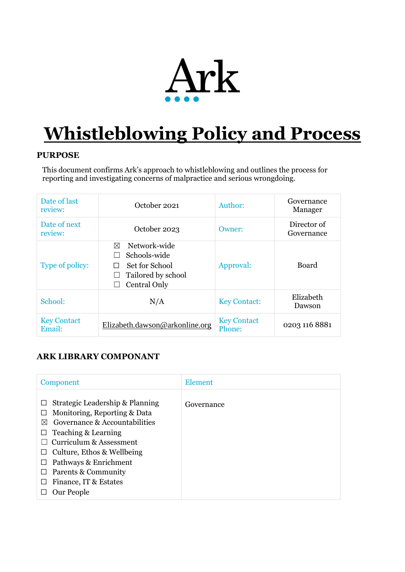

# **Whistleblowing Policy and Process**

#### **PURPOSE**

This document confirms Ark's approach to whistleblowing and outlines the process for reporting and investigating concerns of malpractice and serious wrongdoing.

| Date of last<br>review:      | October 2021                                                                              | Author:                      | Governance<br>Manager     |
|------------------------------|-------------------------------------------------------------------------------------------|------------------------------|---------------------------|
| Date of next<br>review:      | October 2023                                                                              | Owner:                       | Director of<br>Governance |
| Type of policy:              | Network-wide<br>⊠<br>Schools-wide<br>Set for School<br>Tailored by school<br>Central Only | Approval:                    | <b>Board</b>              |
| School:                      | N/A                                                                                       | <b>Key Contact:</b>          | Elizabeth<br>Dawson       |
| <b>Key Contact</b><br>Email: | Elizabeth.dawson@arkonline.org                                                            | <b>Key Contact</b><br>Phone: | 0203 116 8881             |

# **ARK LIBRARY COMPONANT**

| Component                                                                                                                                                                                                                                                                                           | <b>Element</b> |
|-----------------------------------------------------------------------------------------------------------------------------------------------------------------------------------------------------------------------------------------------------------------------------------------------------|----------------|
| Strategic Leadership & Planning<br>Monitoring, Reporting & Data<br>$\Box$<br>Governance & Accountabilities<br>$\bowtie$<br>Teaching & Learning<br>⊔<br>Curriculum & Assessment<br>Culture, Ethos & Wellbeing<br>Pathways & Enrichment<br>Parents & Community<br>Finance, IT & Estates<br>Our People | Governance     |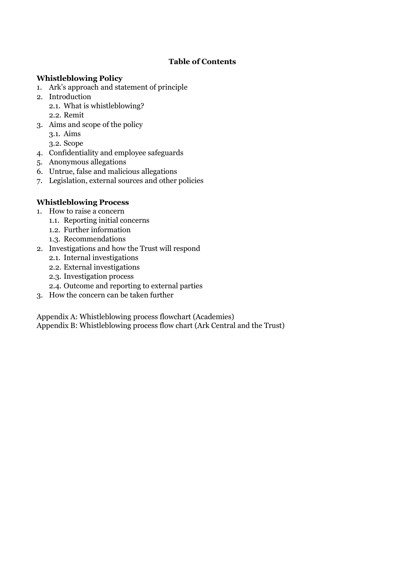#### **Table of Contents**

#### **Whistleblowing Policy**

- 1. Ark's approach and statement of principle
- 2. Introduction
	- 2.1. What is whistleblowing? 2.2. Remit
- 3. Aims and scope of the policy
	- 3.1. Aims
	- 3.2. Scope
- 4. Confidentiality and employee safeguards
- 5. Anonymous allegations
- 6. Untrue, false and malicious allegations
- 7. Legislation, external sources and other policies

# **Whistleblowing Process**

- 1. How to raise a concern
	- 1.1. Reporting initial concerns
	- 1.2. Further information
	- 1.3. Recommendations
- 2. Investigations and how the Trust will respond
	- 2.1. Internal investigations
	- 2.2. External investigations
	- 2.3. Investigation process
	- 2.4. Outcome and reporting to external parties
- 3. How the concern can be taken further

Appendix A: Whistleblowing process flowchart (Academies) Appendix B: Whistleblowing process flow chart (Ark Central and the Trust)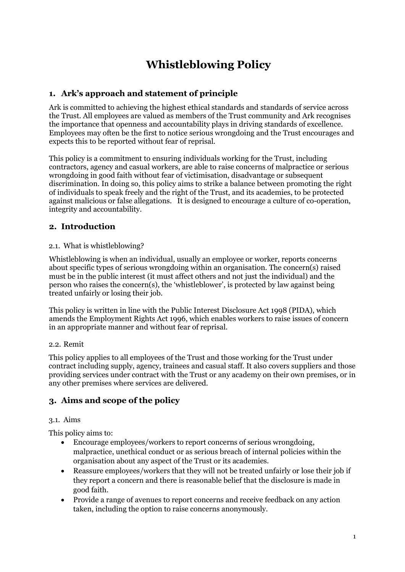# **Whistleblowing Policy**

# **1. Ark's approach and statement of principle**

Ark is committed to achieving the highest ethical standards and standards of service across the Trust. All employees are valued as members of the Trust community and Ark recognises the importance that openness and accountability plays in driving standards of excellence. Employees may often be the first to notice serious wrongdoing and the Trust encourages and expects this to be reported without fear of reprisal.

This policy is a commitment to ensuring individuals working for the Trust, including contractors, agency and casual workers, are able to raise concerns of malpractice or serious wrongdoing in good faith without fear of victimisation, disadvantage or subsequent discrimination. In doing so, this policy aims to strike a balance between promoting the right of individuals to speak freely and the right of the Trust, and its academies, to be protected against malicious or false allegations. It is designed to encourage a culture of co-operation, integrity and accountability.

# **2. Introduction**

#### 2.1. What is whistleblowing?

Whistleblowing is when an individual, usually an employee or worker, reports concerns about specific types of serious wrongdoing within an organisation. The concern(s) raised must be in the public interest (it must affect others and not just the individual) and the person who raises the concern(s), the 'whistleblower', is protected by law against being treated unfairly or losing their job.

This policy is written in line with the Public Interest Disclosure Act 1998 (PIDA), which amends the Employment Rights Act 1996, which enables workers to raise issues of concern in an appropriate manner and without fear of reprisal.

#### 2.2. Remit

This policy applies to all employees of the Trust and those working for the Trust under contract including supply, agency, trainees and casual staff. It also covers suppliers and those providing services under contract with the Trust or any academy on their own premises, or in any other premises where services are delivered.

# **3. Aims and scope of the policy**

#### 3.1. Aims

This policy aims to:

- Encourage employees/workers to report concerns of serious wrongdoing, malpractice, unethical conduct or as serious breach of internal policies within the organisation about any aspect of the Trust or its academies.
- Reassure employees/workers that they will not be treated unfairly or lose their job if they report a concern and there is reasonable belief that the disclosure is made in good faith.
- Provide a range of avenues to report concerns and receive feedback on any action taken, including the option to raise concerns anonymously.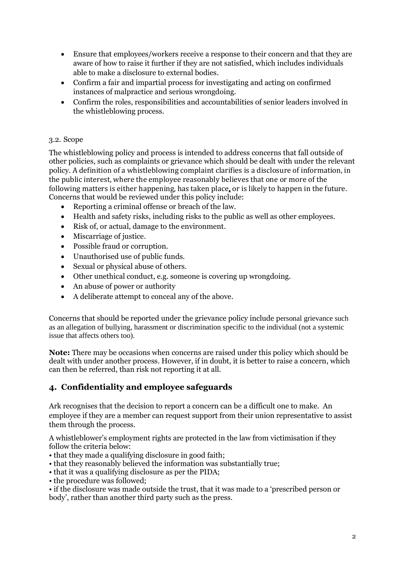- Ensure that employees/workers receive a response to their concern and that they are aware of how to raise it further if they are not satisfied, which includes individuals able to make a disclosure to external bodies.
- Confirm a fair and impartial process for investigating and acting on confirmed instances of malpractice and serious wrongdoing.
- Confirm the roles, responsibilities and accountabilities of senior leaders involved in the whistleblowing process.

#### 3.2. Scope

The whistleblowing policy and process is intended to address concerns that fall outside of other policies, such as complaints or grievance which should be dealt with under the relevant policy. A definition of a whistleblowing complaint clarifies is a disclosure of information, in the public interest, where the employee reasonably believes that one or more of the following matters is either happening, has taken place**,** or is likely to happen in the future. Concerns that would be reviewed under this policy include:

- Reporting a criminal offense or breach of the law.
- Health and safety risks, including risks to the public as well as other employees.
- Risk of, or actual, damage to the environment.
- Miscarriage of justice.
- Possible fraud or corruption.
- Unauthorised use of public funds.
- Sexual or physical abuse of others.
- Other unethical conduct, e.g. someone is covering up wrongdoing.
- An abuse of power or authority
- A deliberate attempt to conceal any of the above.

Concerns that should be reported under the grievance policy include personal grievance such as an allegation of bullying, harassment or discrimination specific to the individual (not a systemic issue that affects others too).

**Note:** There may be occasions when concerns are raised under this policy which should be dealt with under another process. However, if in doubt, it is better to raise a concern, which can then be referred, than risk not reporting it at all.

#### **4. Confidentiality and employee safeguards**

Ark recognises that the decision to report a concern can be a difficult one to make. An employee if they are a member can request support from their union representative to assist them through the process.

A whistleblower's employment rights are protected in the law from victimisation if they follow the criteria below:

- that they made a qualifying disclosure in good faith;
- that they reasonably believed the information was substantially true;
- that it was a qualifying disclosure as per the PIDA;
- the procedure was followed:

• if the disclosure was made outside the trust, that it was made to a 'prescribed person or body', rather than another third party such as the press.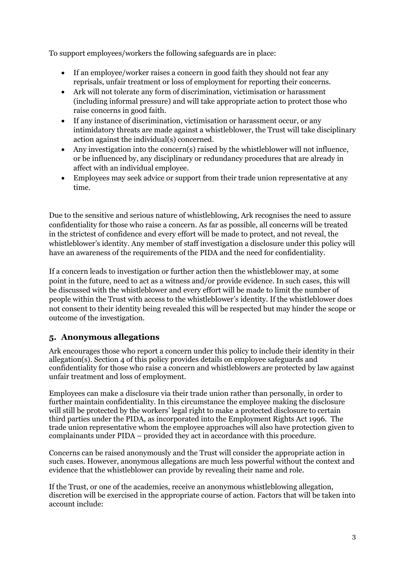To support employees/workers the following safeguards are in place:

- If an employee/worker raises a concern in good faith they should not fear any reprisals, unfair treatment or loss of employment for reporting their concerns.
- Ark will not tolerate any form of discrimination, victimisation or harassment (including informal pressure) and will take appropriate action to protect those who raise concerns in good faith.
- If any instance of discrimination, victimisation or harassment occur, or any intimidatory threats are made against a whistleblower, the Trust will take disciplinary action against the individual(s) concerned.
- Any investigation into the concern(s) raised by the whistleblower will not influence, or be influenced by, any disciplinary or redundancy procedures that are already in affect with an individual employee.
- Employees may seek advice or support from their trade union representative at any time.

Due to the sensitive and serious nature of whistleblowing, Ark recognises the need to assure confidentiality for those who raise a concern. As far as possible, all concerns will be treated in the strictest of confidence and every effort will be made to protect, and not reveal, the whistleblower's identity. Any member of staff investigation a disclosure under this policy will have an awareness of the requirements of the PIDA and the need for confidentiality.

If a concern leads to investigation or further action then the whistleblower may, at some point in the future, need to act as a witness and/or provide evidence. In such cases, this will be discussed with the whistleblower and every effort will be made to limit the number of people within the Trust with access to the whistleblower's identity. If the whistleblower does not consent to their identity being revealed this will be respected but may hinder the scope or outcome of the investigation.

# **5. Anonymous allegations**

Ark encourages those who report a concern under this policy to include their identity in their allegation(s). Section 4 of this policy provides details on employee safeguards and confidentiality for those who raise a concern and whistleblowers are protected by law against unfair treatment and loss of employment.

Employees can make a disclosure via their trade union rather than personally, in order to further maintain confidentiality. In this circumstance the employee making the disclosure will still be protected by the workers' legal right to make a protected disclosure to certain third parties under the PIDA, as incorporated into the Employment Rights Act 1996. The trade union representative whom the employee approaches will also have protection given to complainants under PIDA – provided they act in accordance with this procedure.

Concerns can be raised anonymously and the Trust will consider the appropriate action in such cases. However, anonymous allegations are much less powerful without the context and evidence that the whistleblower can provide by revealing their name and role.

If the Trust, or one of the academies, receive an anonymous whistleblowing allegation, discretion will be exercised in the appropriate course of action. Factors that will be taken into account include: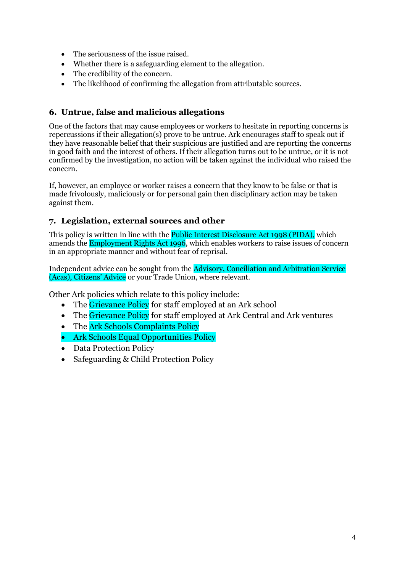- The seriousness of the issue raised.
- Whether there is a safeguarding element to the allegation.
- The credibility of the concern.
- The likelihood of confirming the allegation from attributable sources.

# **6. Untrue, false and malicious allegations**

One of the factors that may cause employees or workers to hesitate in reporting concerns is repercussions if their allegation(s) prove to be untrue. Ark encourages staff to speak out if they have reasonable belief that their suspicious are justified and are reporting the concerns in good faith and the interest of others. If their allegation turns out to be untrue, or it is not confirmed by the investigation, no action will be taken against the individual who raised the concern.

If, however, an employee or worker raises a concern that they know to be false or that is made frivolously, maliciously or for personal gain then disciplinary action may be taken against them.

# **7. Legislation, external sources and other**

This policy is written in line with the **Public Interest Disclosure Act 1998 (PIDA)**, which amends the Employment Rights Act 1996, which enables workers to raise issues of concern in an appropriate manner and without fear of reprisal.

Independent advice can be sought from the Advisory, Conciliation and Arbitration Service (Acas), Citizens' Advice or your Trade Union, where relevant.

Other Ark policies which relate to this policy include:

- The Grievance Policy for staff employed at an Ark school
- The Grievance Policy for staff employed at Ark Central and Ark ventures
- The Ark Schools Complaints Policy
- Ark Schools Equal Opportunities Policy
- Data Protection Policy
- Safeguarding & Child Protection Policy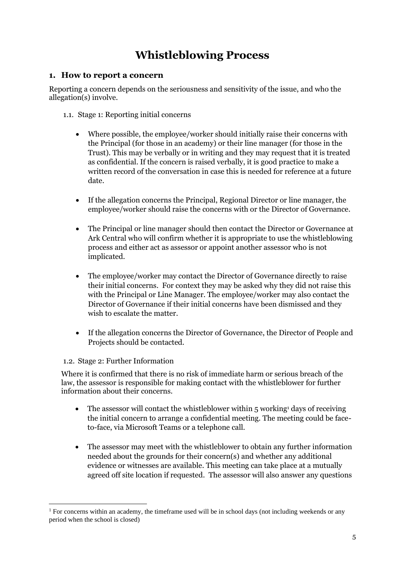# **Whistleblowing Process**

#### **1. How to report a concern**

Reporting a concern depends on the seriousness and sensitivity of the issue, and who the allegation(s) involve.

- 1.1. Stage 1: Reporting initial concerns
	- Where possible, the employee/worker should initially raise their concerns with the Principal (for those in an academy) or their line manager (for those in the Trust). This may be verbally or in writing and they may request that it is treated as confidential. If the concern is raised verbally, it is good practice to make a written record of the conversation in case this is needed for reference at a future date.
	- If the allegation concerns the Principal, Regional Director or line manager, the employee/worker should raise the concerns with or the Director of Governance.
	- The Principal or line manager should then contact the Director or Governance at Ark Central who will confirm whether it is appropriate to use the whistleblowing process and either act as assessor or appoint another assessor who is not implicated.
	- The employee/worker may contact the Director of Governance directly to raise their initial concerns. For context they may be asked why they did not raise this with the Principal or Line Manager. The employee/worker may also contact the Director of Governance if their initial concerns have been dismissed and they wish to escalate the matter.
	- If the allegation concerns the Director of Governance, the Director of People and Projects should be contacted.

#### 1.2. Stage 2: Further Information

Where it is confirmed that there is no risk of immediate harm or serious breach of the law, the assessor is responsible for making contact with the whistleblower for further information about their concerns.

- The assessor will contact the whistleblower within  $5 \text{ working}$ <sup>1</sup> days of receiving the initial concern to arrange a confidential meeting. The meeting could be faceto-face, via Microsoft Teams or a telephone call.
- The assessor may meet with the whistleblower to obtain any further information needed about the grounds for their concern(s) and whether any additional evidence or witnesses are available. This meeting can take place at a mutually agreed off site location if requested. The assessor will also answer any questions

<sup>&</sup>lt;sup>1</sup> For concerns within an academy, the timeframe used will be in school days (not including weekends or any period when the school is closed)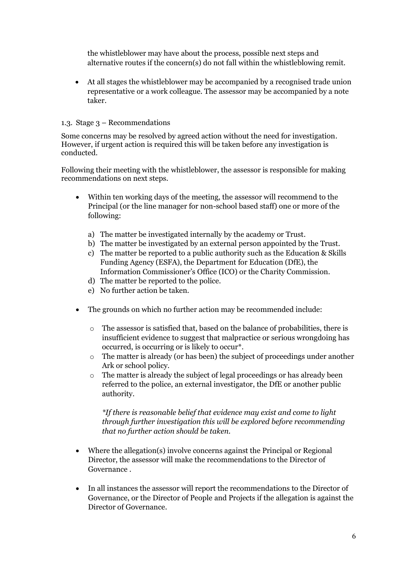the whistleblower may have about the process, possible next steps and alternative routes if the concern(s) do not fall within the whistleblowing remit.

• At all stages the whistleblower may be accompanied by a recognised trade union representative or a work colleague. The assessor may be accompanied by a note taker.

#### 1.3. Stage 3 – Recommendations

Some concerns may be resolved by agreed action without the need for investigation. However, if urgent action is required this will be taken before any investigation is conducted.

Following their meeting with the whistleblower, the assessor is responsible for making recommendations on next steps.

- Within ten working days of the meeting, the assessor will recommend to the Principal (or the line manager for non-school based staff) one or more of the following:
	- a) The matter be investigated internally by the academy or Trust.
	- b) The matter be investigated by an external person appointed by the Trust.
	- c) The matter be reported to a public authority such as the Education & Skills Funding Agency (ESFA), the Department for Education (DfE), the Information Commissioner's Office (ICO) or the Charity Commission.
	- d) The matter be reported to the police.
	- e) No further action be taken.
- The grounds on which no further action may be recommended include:
	- o The assessor is satisfied that, based on the balance of probabilities, there is insufficient evidence to suggest that malpractice or serious wrongdoing has occurred, is occurring or is likely to occur\*.
	- $\circ$  The matter is already (or has been) the subject of proceedings under another Ark or school policy.
	- o The matter is already the subject of legal proceedings or has already been referred to the police, an external investigator, the DfE or another public authority.

*\*If there is reasonable belief that evidence may exist and come to light through further investigation this will be explored before recommending that no further action should be taken.*

- Where the allegation(s) involve concerns against the Principal or Regional Director, the assessor will make the recommendations to the Director of Governance .
- In all instances the assessor will report the recommendations to the Director of Governance, or the Director of People and Projects if the allegation is against the Director of Governance.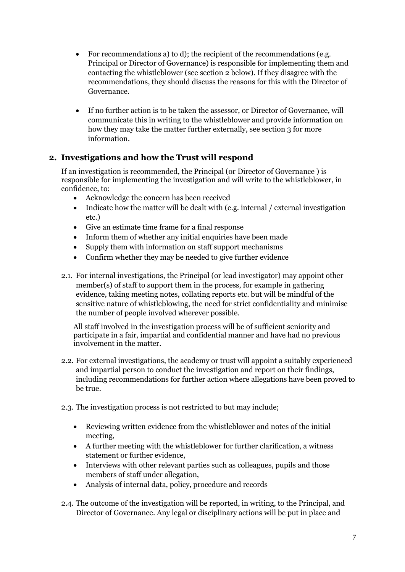- For recommendations a) to d); the recipient of the recommendations (e.g. Principal or Director of Governance) is responsible for implementing them and contacting the whistleblower (see section 2 below). If they disagree with the recommendations, they should discuss the reasons for this with the Director of Governance.
- If no further action is to be taken the assessor, or Director of Governance, will communicate this in writing to the whistleblower and provide information on how they may take the matter further externally, see section 3 for more information.

# **2. Investigations and how the Trust will respond**

If an investigation is recommended, the Principal (or Director of Governance ) is responsible for implementing the investigation and will write to the whistleblower, in confidence, to:

- Acknowledge the concern has been received
- Indicate how the matter will be dealt with (e.g. internal / external investigation etc.)
- Give an estimate time frame for a final response
- Inform them of whether any initial enquiries have been made
- Supply them with information on staff support mechanisms
- Confirm whether they may be needed to give further evidence
- 2.1. For internal investigations, the Principal (or lead investigator) may appoint other member(s) of staff to support them in the process, for example in gathering evidence, taking meeting notes, collating reports etc. but will be mindful of the sensitive nature of whistleblowing, the need for strict confidentiality and minimise the number of people involved wherever possible.

All staff involved in the investigation process will be of sufficient seniority and participate in a fair, impartial and confidential manner and have had no previous involvement in the matter.

- 2.2. For external investigations, the academy or trust will appoint a suitably experienced and impartial person to conduct the investigation and report on their findings, including recommendations for further action where allegations have been proved to be true.
- 2.3. The investigation process is not restricted to but may include;
	- Reviewing written evidence from the whistleblower and notes of the initial meeting,
	- A further meeting with the whistleblower for further clarification, a witness statement or further evidence,
	- Interviews with other relevant parties such as colleagues, pupils and those members of staff under allegation,
	- Analysis of internal data, policy, procedure and records
- 2.4. The outcome of the investigation will be reported, in writing, to the Principal, and Director of Governance. Any legal or disciplinary actions will be put in place and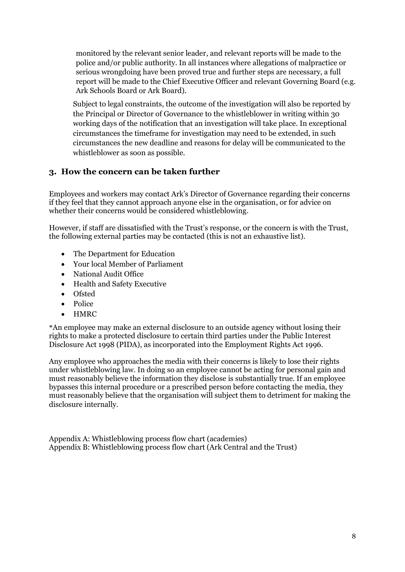monitored by the relevant senior leader, and relevant reports will be made to the police and/or public authority. In all instances where allegations of malpractice or serious wrongdoing have been proved true and further steps are necessary, a full report will be made to the Chief Executive Officer and relevant Governing Board (e.g. Ark Schools Board or Ark Board).

Subject to legal constraints, the outcome of the investigation will also be reported by the Principal or Director of Governance to the whistleblower in writing within 30 working days of the notification that an investigation will take place. In exceptional circumstances the timeframe for investigation may need to be extended, in such circumstances the new deadline and reasons for delay will be communicated to the whistleblower as soon as possible.

# **3. How the concern can be taken further**

Employees and workers may contact Ark's Director of Governance regarding their concerns if they feel that they cannot approach anyone else in the organisation, or for advice on whether their concerns would be considered whistleblowing.

However, if staff are dissatisfied with the Trust's response, or the concern is with the Trust, the following external parties may be contacted (this is not an exhaustive list).

- The Department for Education
- Your local Member of Parliament
- National Audit Office
- Health and Safety Executive
- Ofsted
- Police
- HMRC

\*An employee may make an external disclosure to an outside agency without losing their rights to make a protected disclosure to certain third parties under the Public Interest Disclosure Act 1998 (PIDA), as incorporated into the Employment Rights Act 1996.

Any employee who approaches the media with their concerns is likely to lose their rights under whistleblowing law. In doing so an employee cannot be acting for personal gain and must reasonably believe the information they disclose is substantially true. If an employee bypasses this internal procedure or a prescribed person before contacting the media, they must reasonably believe that the organisation will subject them to detriment for making the disclosure internally.

Appendix A: Whistleblowing process flow chart (academies) Appendix B: Whistleblowing process flow chart (Ark Central and the Trust)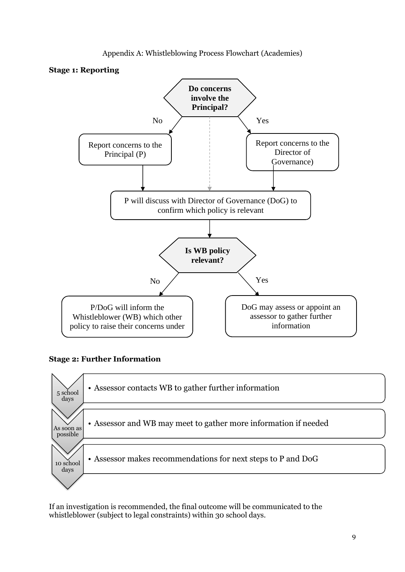





#### **Stage 2: Further Information**



If an investigation is recommended, the final outcome will be communicated to the whistleblower (subject to legal constraints) within 30 school days.